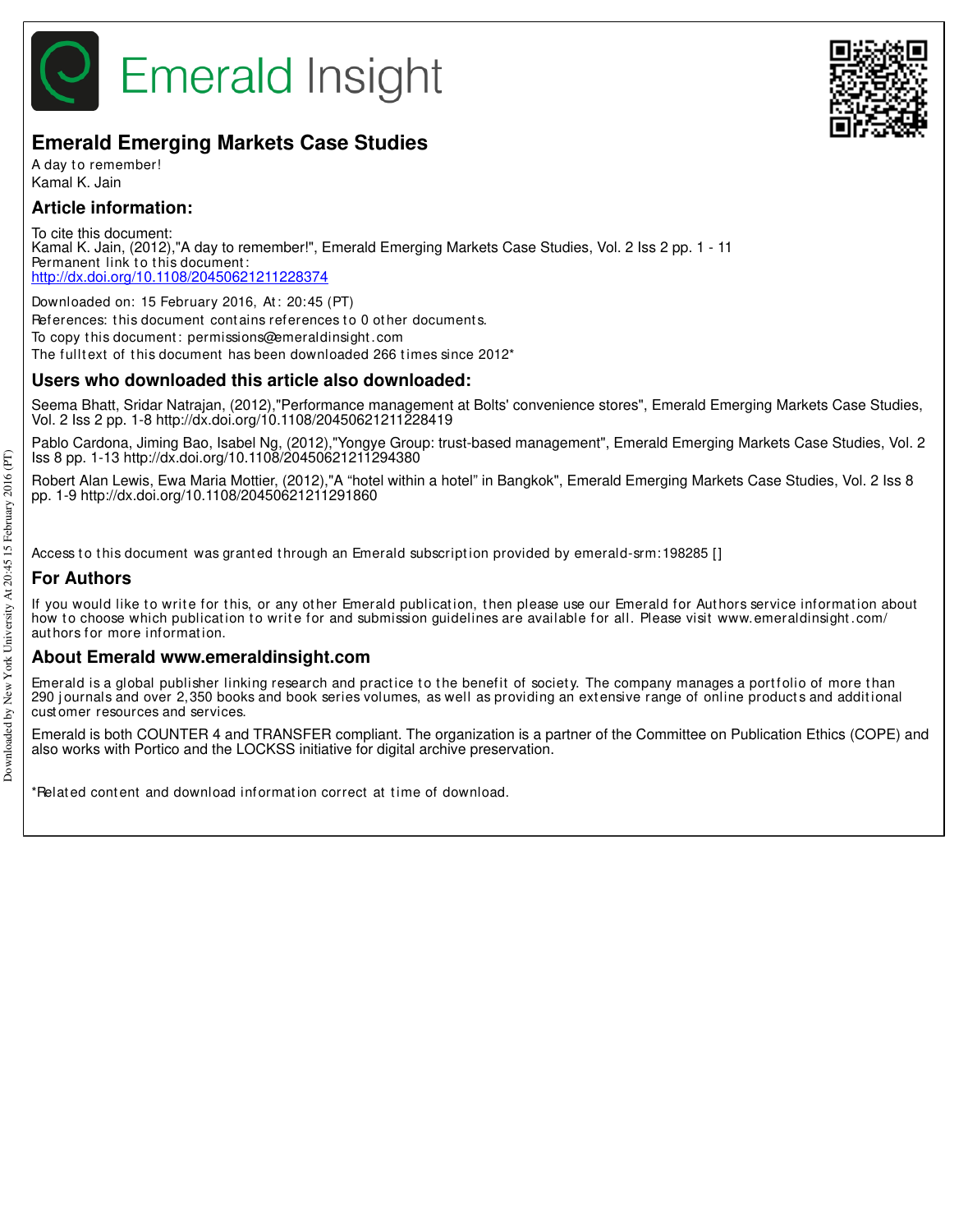

## **Emerald Emerging Markets Case Studies**

A day to remember! Kamal K. Jain

## **Article information:**

To cite this document: Kamal K. Jain, (2012),"A day to remember!", Emerald Emerging Markets Case Studies, Vol. 2 Iss 2 pp. 1 - 11 Permanent link to this document: http://dx.doi.org/10.1108/20450621211228374

Downloaded on: 15 February 2016, At : 20:45 (PT) References: this document contains references to 0 other documents. To copy t his document : permissions@emeraldinsight .com The fulltext of this document has been downloaded 266 times since 2012<sup>\*</sup>

## **Users who downloaded this article also downloaded:**

Seema Bhatt, Sridar Natrajan, (2012),"Performance management at Bolts' convenience stores", Emerald Emerging Markets Case Studies, Vol. 2 Iss 2 pp. 1-8 http://dx.doi.org/10.1108/20450621211228419

Pablo Cardona, Jiming Bao, Isabel Ng, (2012),"Yongye Group: trust-based management", Emerald Emerging Markets Case Studies, Vol. 2 Iss 8 pp. 1-13 http://dx.doi.org/10.1108/20450621211294380

Robert Alan Lewis, Ewa Maria Mottier, (2012),"A "hotel within a hotel" in Bangkok", Emerald Emerging Markets Case Studies, Vol. 2 Iss 8 pp. 1-9 http://dx.doi.org/10.1108/20450621211291860

Access to this document was granted through an Emerald subscription provided by emerald-srm: 198285 []

## **For Authors**

If you would like to write for this, or any other Emerald publication, then please use our Emerald for Authors service information about how to choose which publication to write for and submission guidelines are available for all. Please visit www.emeraldinsight.com/ authors for more information.

## **About Emerald www.emeraldinsight.com**

Emerald is a global publisher linking research and practice to the benefit of society. The company manages a portfolio of more than 290 journals and over 2,350 books and book series volumes, as well as providing an extensive range of online products and additional cust omer resources and services.

Emerald is both COUNTER 4 and TRANSFER compliant. The organization is a partner of the Committee on Publication Ethics (COPE) and also works with Portico and the LOCKSS initiative for digital archive preservation.

\*Related content and download information correct at time of download.

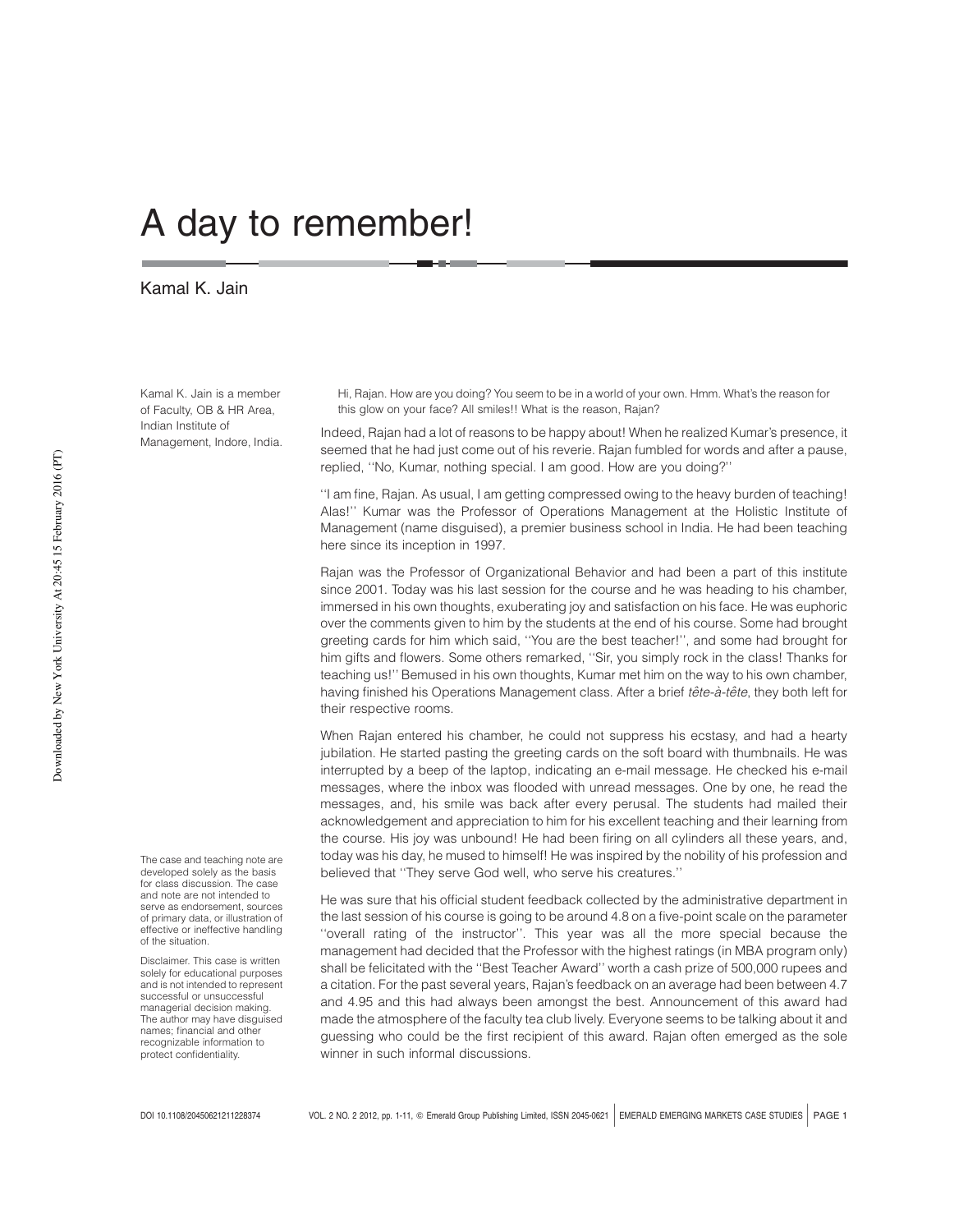# A day to remember!

#### Kamal K. Jain

Kamal K. Jain is a member of Faculty, OB & HR Area, Indian Institute of Management, Indore, India.

Hi, Rajan. How are you doing? You seem to be in a world of your own. Hmm. What's the reason for this glow on your face? All smiles!! What is the reason, Rajan?

Indeed, Rajan had a lot of reasons to be happy about! When he realized Kumar's presence, it seemed that he had just come out of his reverie. Rajan fumbled for words and after a pause, replied, ''No, Kumar, nothing special. I am good. How are you doing?''

''I am fine, Rajan. As usual, I am getting compressed owing to the heavy burden of teaching! Alas!'' Kumar was the Professor of Operations Management at the Holistic Institute of Management (name disguised), a premier business school in India. He had been teaching here since its inception in 1997.

Rajan was the Professor of Organizational Behavior and had been a part of this institute since 2001. Today was his last session for the course and he was heading to his chamber, immersed in his own thoughts, exuberating joy and satisfaction on his face. He was euphoric over the comments given to him by the students at the end of his course. Some had brought greeting cards for him which said, ''You are the best teacher!'', and some had brought for him gifts and flowers. Some others remarked, "Sir, you simply rock in the class! Thanks for teaching us!'' Bemused in his own thoughts, Kumar met him on the way to his own chamber, having finished his Operations Management class. After a brief *tête-à-tête*, they both left for their respective rooms.

When Rajan entered his chamber, he could not suppress his ecstasy, and had a hearty jubilation. He started pasting the greeting cards on the soft board with thumbnails. He was interrupted by a beep of the laptop, indicating an e-mail message. He checked his e-mail messages, where the inbox was flooded with unread messages. One by one, he read the messages, and, his smile was back after every perusal. The students had mailed their acknowledgement and appreciation to him for his excellent teaching and their learning from the course. His joy was unbound! He had been firing on all cylinders all these years, and, today was his day, he mused to himself! He was inspired by the nobility of his profession and believed that ''They serve God well, who serve his creatures.''

He was sure that his official student feedback collected by the administrative department in the last session of his course is going to be around 4.8 on a five-point scale on the parameter ''overall rating of the instructor''. This year was all the more special because the management had decided that the Professor with the highest ratings (in MBA program only) shall be felicitated with the ''Best Teacher Award'' worth a cash prize of 500,000 rupees and a citation. For the past several years, Rajan's feedback on an average had been between 4.7 and 4.95 and this had always been amongst the best. Announcement of this award had made the atmosphere of the faculty tea club lively. Everyone seems to be talking about it and guessing who could be the first recipient of this award. Rajan often emerged as the sole winner in such informal discussions.

The case and teaching note are developed solely as the basis for class discussion. The case and note are not intended to serve as endorsement, sources of primary data, or illustration of effective or ineffective handling of the situation.

Disclaimer. This case is written solely for educational purposes and is not intended to represent successful or unsuccessful managerial decision making. The author may have disguised names; financial and other recognizable information to protect confidentiality.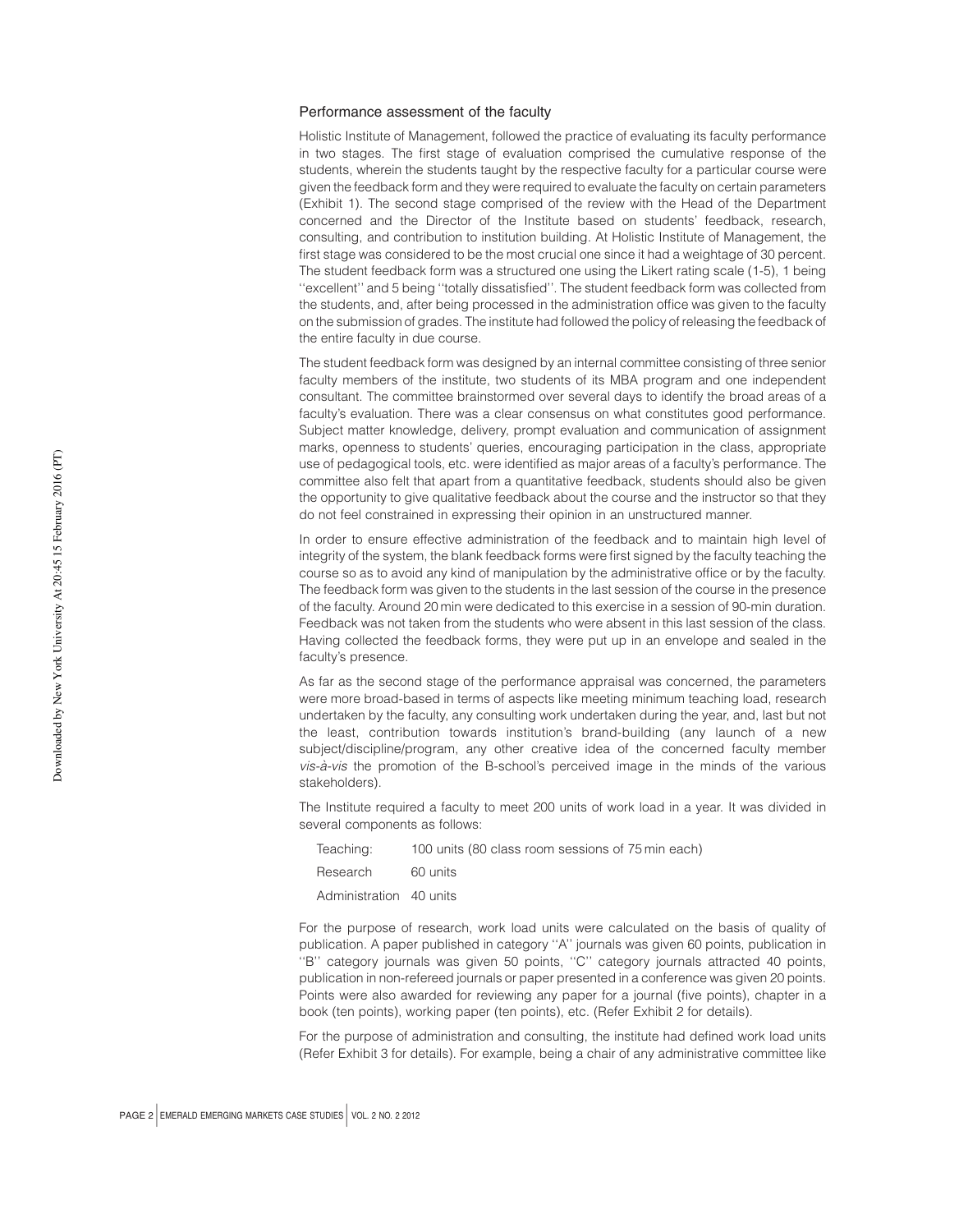#### Performance assessment of the faculty

Holistic Institute of Management, followed the practice of evaluating its faculty performance in two stages. The first stage of evaluation comprised the cumulative response of the students, wherein the students taught by the respective faculty for a particular course were given the feedback form and they were required to evaluate the faculty on certain parameters (Exhibit 1). The second stage comprised of the review with the Head of the Department concerned and the Director of the Institute based on students' feedback, research, consulting, and contribution to institution building. At Holistic Institute of Management, the first stage was considered to be the most crucial one since it had a weightage of 30 percent. The student feedback form was a structured one using the Likert rating scale (1-5), 1 being ''excellent'' and 5 being ''totally dissatisfied''. The student feedback form was collected from the students, and, after being processed in the administration office was given to the faculty on the submission of grades. The institute had followed the policy of releasing the feedback of the entire faculty in due course.

The student feedback form was designed by an internal committee consisting of three senior faculty members of the institute, two students of its MBA program and one independent consultant. The committee brainstormed over several days to identify the broad areas of a faculty's evaluation. There was a clear consensus on what constitutes good performance. Subject matter knowledge, delivery, prompt evaluation and communication of assignment marks, openness to students' queries, encouraging participation in the class, appropriate use of pedagogical tools, etc. were identified as major areas of a faculty's performance. The committee also felt that apart from a quantitative feedback, students should also be given the opportunity to give qualitative feedback about the course and the instructor so that they do not feel constrained in expressing their opinion in an unstructured manner.

In order to ensure effective administration of the feedback and to maintain high level of integrity of the system, the blank feedback forms were first signed by the faculty teaching the course so as to avoid any kind of manipulation by the administrative office or by the faculty. The feedback form was given to the students in the last session of the course in the presence of the faculty. Around 20 min were dedicated to this exercise in a session of 90-min duration. Feedback was not taken from the students who were absent in this last session of the class. Having collected the feedback forms, they were put up in an envelope and sealed in the faculty's presence.

As far as the second stage of the performance appraisal was concerned, the parameters were more broad-based in terms of aspects like meeting minimum teaching load, research undertaken by the faculty, any consulting work undertaken during the year, and, last but not the least, contribution towards institution's brand-building (any launch of a new subject/discipline/program, any other creative idea of the concerned faculty member *vis-a`-vis* the promotion of the B-school's perceived image in the minds of the various stakeholders).

The Institute required a faculty to meet 200 units of work load in a year. It was divided in several components as follows:

| Teaching:               | 100 units (80 class room sessions of 75 min each) |
|-------------------------|---------------------------------------------------|
| Research                | 60 units                                          |
| Administration 40 units |                                                   |

For the purpose of research, work load units were calculated on the basis of quality of publication. A paper published in category ''A'' journals was given 60 points, publication in ''B'' category journals was given 50 points, ''C'' category journals attracted 40 points, publication in non-refereed journals or paper presented in a conference was given 20 points. Points were also awarded for reviewing any paper for a journal (five points), chapter in a book (ten points), working paper (ten points), etc. (Refer Exhibit 2 for details).

For the purpose of administration and consulting, the institute had defined work load units (Refer Exhibit 3 for details). For example, being a chair of any administrative committee like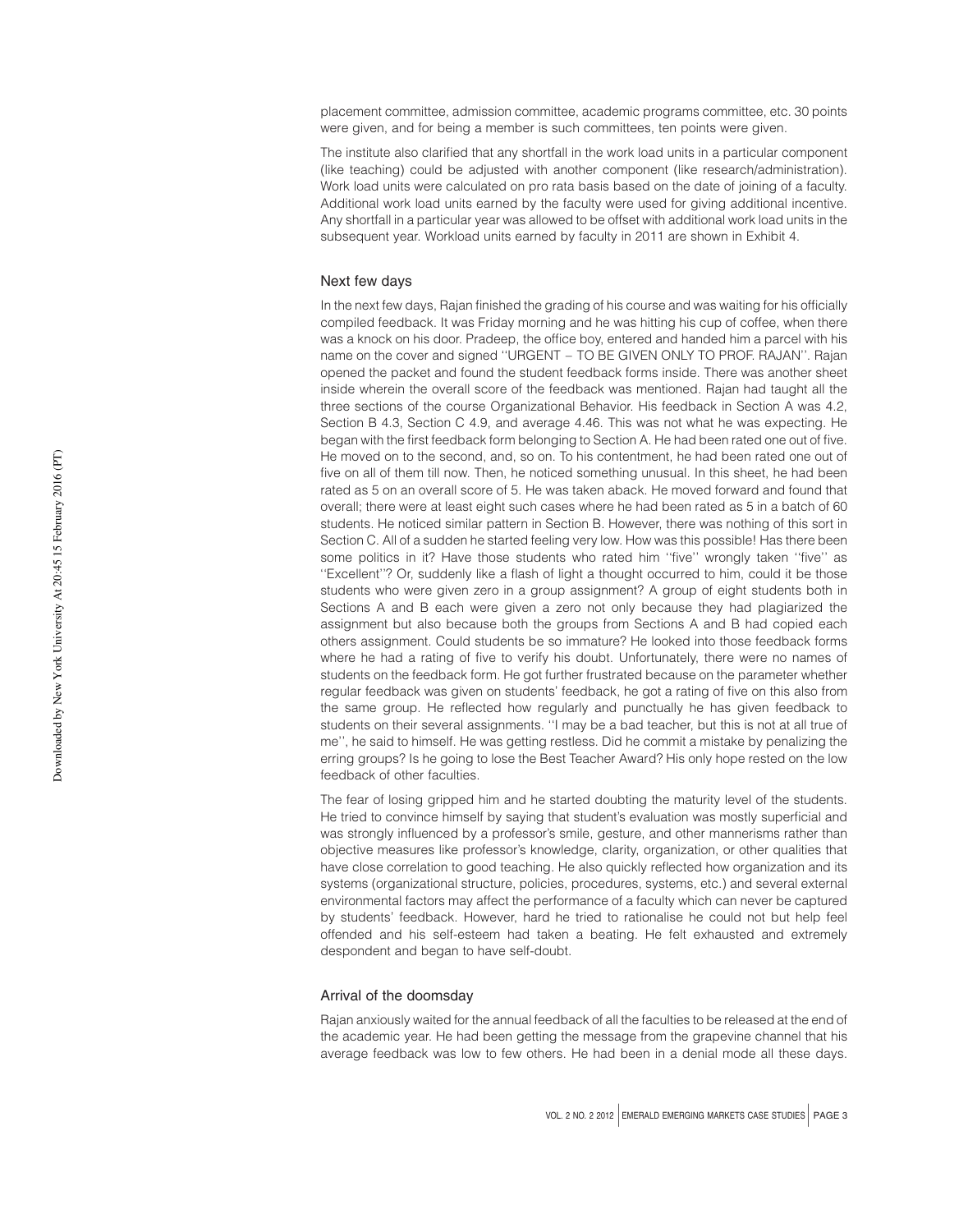placement committee, admission committee, academic programs committee, etc. 30 points were given, and for being a member is such committees, ten points were given.

The institute also clarified that any shortfall in the work load units in a particular component (like teaching) could be adjusted with another component (like research/administration). Work load units were calculated on pro rata basis based on the date of joining of a faculty. Additional work load units earned by the faculty were used for giving additional incentive. Any shortfall in a particular year was allowed to be offset with additional work load units in the subsequent year. Workload units earned by faculty in 2011 are shown in Exhibit 4.

#### Next few days

In the next few days, Rajan finished the grading of his course and was waiting for his officially compiled feedback. It was Friday morning and he was hitting his cup of coffee, when there was a knock on his door. Pradeep, the office boy, entered and handed him a parcel with his name on the cover and signed ''URGENT – TO BE GIVEN ONLY TO PROF. RAJAN''. Rajan opened the packet and found the student feedback forms inside. There was another sheet inside wherein the overall score of the feedback was mentioned. Rajan had taught all the three sections of the course Organizational Behavior. His feedback in Section A was 4.2, Section B 4.3, Section C 4.9, and average 4.46. This was not what he was expecting. He began with the first feedback form belonging to Section A. He had been rated one out of five. He moved on to the second, and, so on. To his contentment, he had been rated one out of five on all of them till now. Then, he noticed something unusual. In this sheet, he had been rated as 5 on an overall score of 5. He was taken aback. He moved forward and found that overall; there were at least eight such cases where he had been rated as 5 in a batch of 60 students. He noticed similar pattern in Section B. However, there was nothing of this sort in Section C. All of a sudden he started feeling very low. How was this possible! Has there been some politics in it? Have those students who rated him ''five'' wrongly taken ''five'' as ''Excellent''? Or, suddenly like a flash of light a thought occurred to him, could it be those students who were given zero in a group assignment? A group of eight students both in Sections A and B each were given a zero not only because they had plagiarized the assignment but also because both the groups from Sections A and B had copied each others assignment. Could students be so immature? He looked into those feedback forms where he had a rating of five to verify his doubt. Unfortunately, there were no names of students on the feedback form. He got further frustrated because on the parameter whether regular feedback was given on students' feedback, he got a rating of five on this also from the same group. He reflected how regularly and punctually he has given feedback to students on their several assignments. ''I may be a bad teacher, but this is not at all true of me'', he said to himself. He was getting restless. Did he commit a mistake by penalizing the erring groups? Is he going to lose the Best Teacher Award? His only hope rested on the low feedback of other faculties.

The fear of losing gripped him and he started doubting the maturity level of the students. He tried to convince himself by saying that student's evaluation was mostly superficial and was strongly influenced by a professor's smile, gesture, and other mannerisms rather than objective measures like professor's knowledge, clarity, organization, or other qualities that have close correlation to good teaching. He also quickly reflected how organization and its systems (organizational structure, policies, procedures, systems, etc.) and several external environmental factors may affect the performance of a faculty which can never be captured by students' feedback. However, hard he tried to rationalise he could not but help feel offended and his self-esteem had taken a beating. He felt exhausted and extremely despondent and began to have self-doubt.

#### Arrival of the doomsday

Rajan anxiously waited for the annual feedback of all the faculties to be released at the end of the academic year. He had been getting the message from the grapevine channel that his average feedback was low to few others. He had been in a denial mode all these days.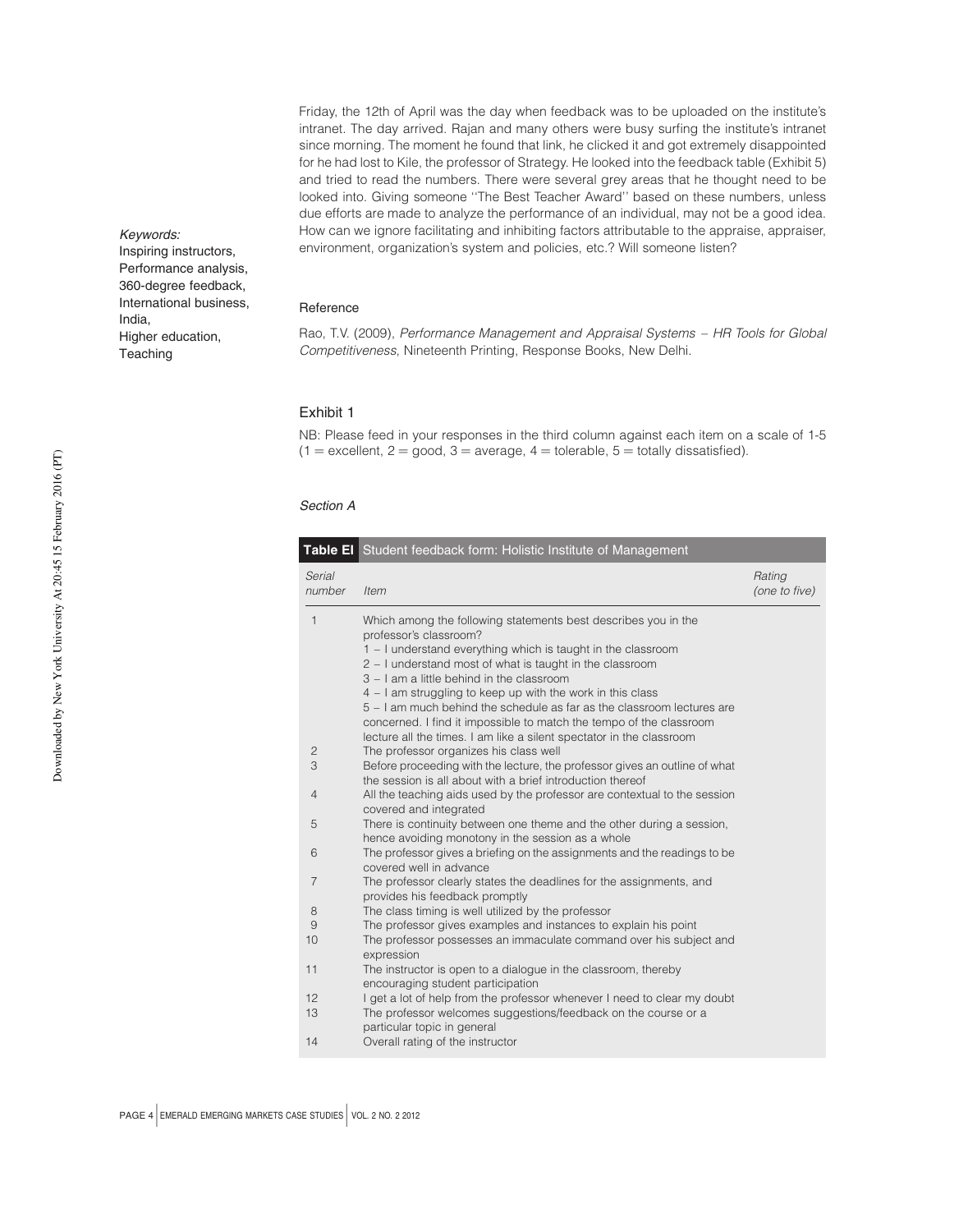Friday, the 12th of April was the day when feedback was to be uploaded on the institute's intranet. The day arrived. Rajan and many others were busy surfing the institute's intranet since morning. The moment he found that link, he clicked it and got extremely disappointed for he had lost to Kile, the professor of Strategy. He looked into the feedback table (Exhibit 5) and tried to read the numbers. There were several grey areas that he thought need to be looked into. Giving someone ''The Best Teacher Award'' based on these numbers, unless due efforts are made to analyze the performance of an individual, may not be a good idea. How can we ignore facilitating and inhibiting factors attributable to the appraise, appraiser, environment, organization's system and policies, etc.? Will someone listen?

#### **Reference**

Rao, T.V. (2009), *Performance Management and Appraisal Systems – HR Tools for Global Competitiveness*, Nineteenth Printing, Response Books, New Delhi.

#### Exhibit 1

NB: Please feed in your responses in the third column against each item on a scale of 1-5  $(1 =$  excellent,  $2 =$  good,  $3 =$  average,  $4 =$  tolerable,  $5 =$  totally dissatisfied).

#### Section A

|                  | Table El Student feedback form: Holistic Institute of Management                                                                                                                                                                                                                                                                                                                                                                                                                                                                                             |                         |  |  |  |
|------------------|--------------------------------------------------------------------------------------------------------------------------------------------------------------------------------------------------------------------------------------------------------------------------------------------------------------------------------------------------------------------------------------------------------------------------------------------------------------------------------------------------------------------------------------------------------------|-------------------------|--|--|--|
| Serial<br>number | Item                                                                                                                                                                                                                                                                                                                                                                                                                                                                                                                                                         | Rating<br>(one to five) |  |  |  |
| 1                | Which among the following statements best describes you in the<br>professor's classroom?<br>1 - I understand everything which is taught in the classroom<br>2 - I understand most of what is taught in the classroom<br>$3 - 1$ am a little behind in the classroom<br>$4 - 1$ am struggling to keep up with the work in this class<br>5 - I am much behind the schedule as far as the classroom lectures are<br>concerned. I find it impossible to match the tempo of the classroom<br>lecture all the times. I am like a silent spectator in the classroom |                         |  |  |  |
| $\overline{c}$   | The professor organizes his class well                                                                                                                                                                                                                                                                                                                                                                                                                                                                                                                       |                         |  |  |  |
| 3                | Before proceeding with the lecture, the professor gives an outline of what<br>the session is all about with a brief introduction thereof                                                                                                                                                                                                                                                                                                                                                                                                                     |                         |  |  |  |
| 4                | All the teaching aids used by the professor are contextual to the session<br>covered and integrated                                                                                                                                                                                                                                                                                                                                                                                                                                                          |                         |  |  |  |
| 5                | There is continuity between one theme and the other during a session,<br>hence avoiding monotony in the session as a whole                                                                                                                                                                                                                                                                                                                                                                                                                                   |                         |  |  |  |
| 6                | The professor gives a briefing on the assignments and the readings to be<br>covered well in advance                                                                                                                                                                                                                                                                                                                                                                                                                                                          |                         |  |  |  |
| $\overline{7}$   | The professor clearly states the deadlines for the assignments, and<br>provides his feedback promptly                                                                                                                                                                                                                                                                                                                                                                                                                                                        |                         |  |  |  |
| 8                | The class timing is well utilized by the professor                                                                                                                                                                                                                                                                                                                                                                                                                                                                                                           |                         |  |  |  |
| 9                | The professor gives examples and instances to explain his point                                                                                                                                                                                                                                                                                                                                                                                                                                                                                              |                         |  |  |  |
| 10               | The professor possesses an immaculate command over his subject and<br>expression                                                                                                                                                                                                                                                                                                                                                                                                                                                                             |                         |  |  |  |
| 11               | The instructor is open to a dialogue in the classroom, thereby<br>encouraging student participation                                                                                                                                                                                                                                                                                                                                                                                                                                                          |                         |  |  |  |
| 12               | I get a lot of help from the professor whenever I need to clear my doubt                                                                                                                                                                                                                                                                                                                                                                                                                                                                                     |                         |  |  |  |
| 13               | The professor welcomes suggestions/feedback on the course or a<br>particular topic in general                                                                                                                                                                                                                                                                                                                                                                                                                                                                |                         |  |  |  |
| 14               | Overall rating of the instructor                                                                                                                                                                                                                                                                                                                                                                                                                                                                                                                             |                         |  |  |  |

Keywords: Inspiring instructors, Performance analysis, 360-degree feedback, International business, India,

Higher education, **Teaching**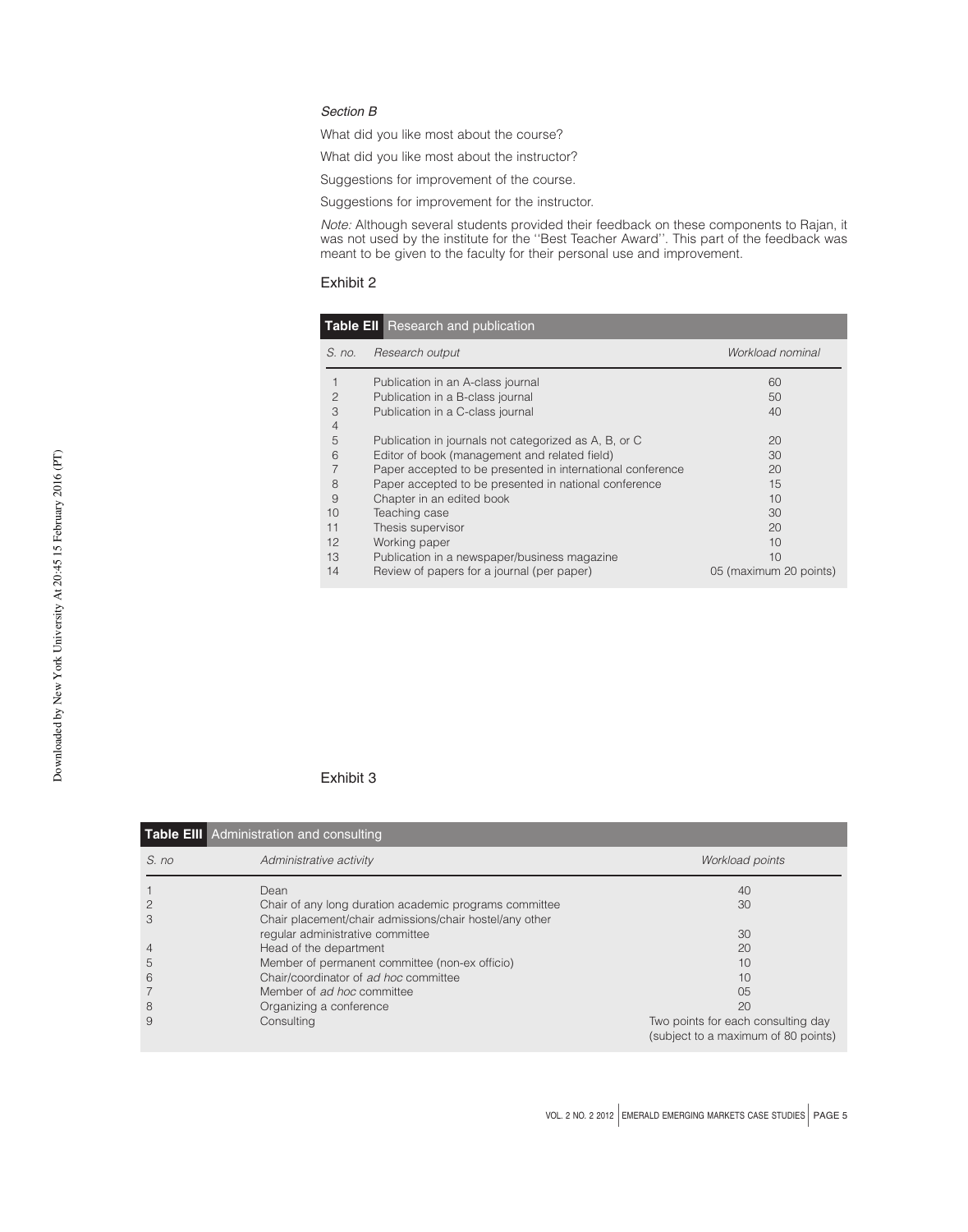#### Section B

What did you like most about the course?

What did you like most about the instructor?

Suggestions for improvement of the course.

Suggestions for improvement for the instructor.

*Note:* Although several students provided their feedback on these components to Rajan, it was not used by the institute for the ''Best Teacher Award''. This part of the feedback was meant to be given to the faculty for their personal use and improvement.

#### Exhibit 2

| <b>Table Ell</b> Research and publication |                                                            |                        |  |  |
|-------------------------------------------|------------------------------------------------------------|------------------------|--|--|
| S. no.                                    | Research output                                            | Workload nominal       |  |  |
|                                           | Publication in an A-class journal                          | 60                     |  |  |
| $\overline{c}$                            | Publication in a B-class journal                           | 50                     |  |  |
| 3<br>$\overline{4}$                       | Publication in a C-class journal                           | 40                     |  |  |
| 5                                         | Publication in journals not categorized as A, B, or C      | 20                     |  |  |
| 6                                         | Editor of book (management and related field)              | 30                     |  |  |
|                                           | Paper accepted to be presented in international conference | 20                     |  |  |
| 8                                         | Paper accepted to be presented in national conference      | 15                     |  |  |
| 9                                         | Chapter in an edited book                                  | 10                     |  |  |
| 10                                        | Teaching case                                              | 30                     |  |  |
| 11                                        | Thesis supervisor                                          | 20                     |  |  |
| 12                                        | Working paper                                              | 10                     |  |  |
| 13                                        | Publication in a newspaper/business magazine               | 10                     |  |  |
| 14                                        | Review of papers for a journal (per paper)                 | 05 (maximum 20 points) |  |  |

#### Exhibit 3

|                | <b>Table EIII</b> Administration and consulting         |                                                                           |
|----------------|---------------------------------------------------------|---------------------------------------------------------------------------|
| S. no          | Administrative activity                                 | Workload points                                                           |
|                | Dean                                                    | 40                                                                        |
| $\overline{c}$ | Chair of any long duration academic programs committee  | 30                                                                        |
| 3              | Chair placement/chair admissions/chair hostel/any other |                                                                           |
|                | regular administrative committee                        | 30                                                                        |
| $\overline{4}$ | Head of the department                                  | 20                                                                        |
| 5              | Member of permanent committee (non-ex officio)          | 10                                                                        |
| 6              | Chair/coordinator of ad hoc committee                   | 10                                                                        |
|                | Member of ad hoc committee                              | 05                                                                        |
| 8              | Organizing a conference                                 | 20                                                                        |
| 9              | Consulting                                              | Two points for each consulting day<br>(subject to a maximum of 80 points) |